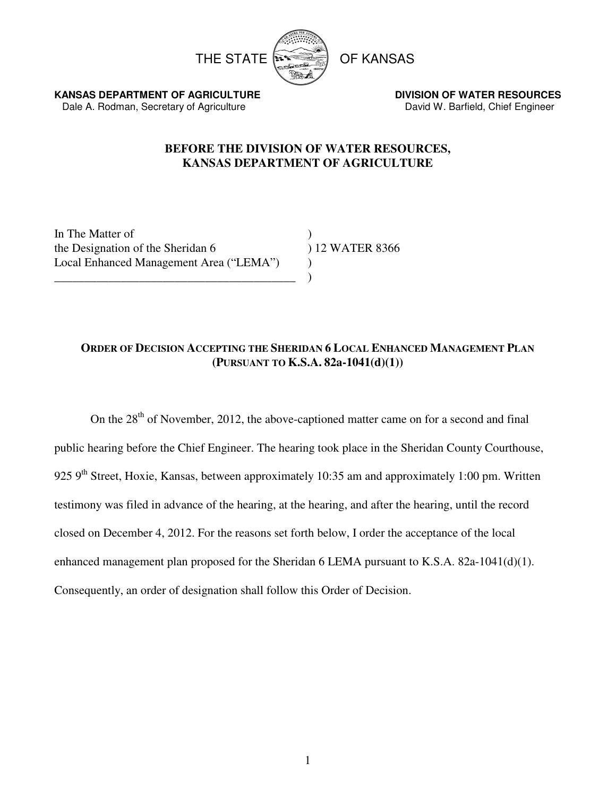

**KANSAS DEPARTMENT OF AGRICULTURE DIVISION OF WATER RESOURCES** Dale A. Rodman, Secretary of Agriculture **David W. Barfield, Chief Engineer** David W. Barfield, Chief Engineer

# **BEFORE THE DIVISION OF WATER RESOURCES, KANSAS DEPARTMENT OF AGRICULTURE**

In The Matter of ) the Designation of the Sheridan 6 ) 12 WATER 8366 Local Enhanced Management Area ("LEMA") ) \_\_\_\_\_\_\_\_\_\_\_\_\_\_\_\_\_\_\_\_\_\_\_\_\_\_\_\_\_\_\_\_\_\_\_\_\_\_\_\_ )

# **ORDER OF DECISION ACCEPTING THE SHERIDAN 6 LOCAL ENHANCED MANAGEMENT PLAN (PURSUANT TO K.S.A. 82a-1041(d)(1))**

On the  $28<sup>th</sup>$  of November, 2012, the above-captioned matter came on for a second and final public hearing before the Chief Engineer. The hearing took place in the Sheridan County Courthouse, 925 9<sup>th</sup> Street, Hoxie, Kansas, between approximately 10:35 am and approximately 1:00 pm. Written testimony was filed in advance of the hearing, at the hearing, and after the hearing, until the record closed on December 4, 2012. For the reasons set forth below, I order the acceptance of the local enhanced management plan proposed for the Sheridan 6 LEMA pursuant to K.S.A. 82a-1041(d)(1). Consequently, an order of designation shall follow this Order of Decision.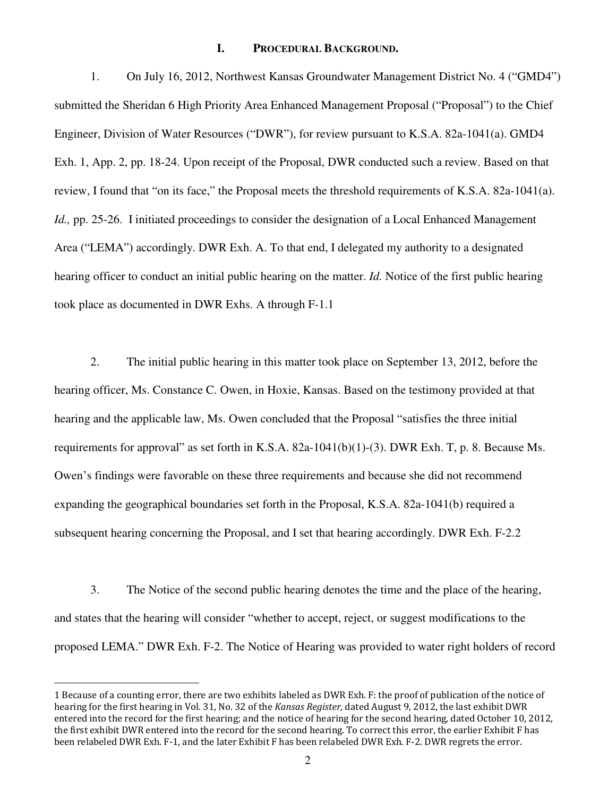#### **I. PROCEDURAL BACKGROUND.**

1. On July 16, 2012, Northwest Kansas Groundwater Management District No. 4 ("GMD4") submitted the Sheridan 6 High Priority Area Enhanced Management Proposal ("Proposal") to the Chief Engineer, Division of Water Resources ("DWR"), for review pursuant to K.S.A. 82a-1041(a). GMD4 Exh. 1, App. 2, pp. 18-24. Upon receipt of the Proposal, DWR conducted such a review. Based on that review, I found that "on its face," the Proposal meets the threshold requirements of K.S.A. 82a-1041(a). *Id.,* pp. 25-26. I initiated proceedings to consider the designation of a Local Enhanced Management Area ("LEMA") accordingly. DWR Exh. A. To that end, I delegated my authority to a designated hearing officer to conduct an initial public hearing on the matter. *Id.* Notice of the first public hearing took place as documented in DWR Exhs. A through F-1.1

2. The initial public hearing in this matter took place on September 13, 2012, before the hearing officer, Ms. Constance C. Owen, in Hoxie, Kansas. Based on the testimony provided at that hearing and the applicable law, Ms. Owen concluded that the Proposal "satisfies the three initial requirements for approval" as set forth in K.S.A. 82a-1041(b)(1)-(3). DWR Exh. T, p. 8. Because Ms. Owen's findings were favorable on these three requirements and because she did not recommend expanding the geographical boundaries set forth in the Proposal, K.S.A. 82a-1041(b) required a subsequent hearing concerning the Proposal, and I set that hearing accordingly. DWR Exh. F-2.2

3. The Notice of the second public hearing denotes the time and the place of the hearing, and states that the hearing will consider "whether to accept, reject, or suggest modifications to the proposed LEMA." DWR Exh. F-2. The Notice of Hearing was provided to water right holders of record

-

<sup>1</sup> Because of a counting error, there are two exhibits labeled as DWR Exh. F: the proof of publication of the notice of hearing for the first hearing in Vol. 31, No. 32 of the Kansas Register, dated August 9, 2012, the last exhibit DWR entered into the record for the first hearing; and the notice of hearing for the second hearing, dated October 10, 2012, the first exhibit DWR entered into the record for the second hearing. To correct this error, the earlier Exhibit F has been relabeled DWR Exh. F-1, and the later Exhibit F has been relabeled DWR Exh. F-2. DWR regrets the error.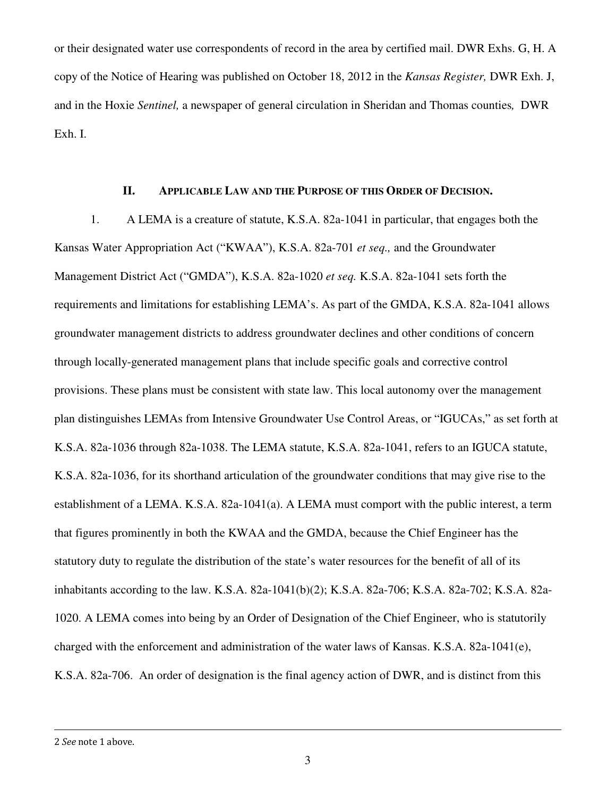or their designated water use correspondents of record in the area by certified mail. DWR Exhs. G, H. A copy of the Notice of Hearing was published on October 18, 2012 in the *Kansas Register,* DWR Exh. J, and in the Hoxie *Sentinel,* a newspaper of general circulation in Sheridan and Thomas counties*,* DWR Exh. I.

## **II. APPLICABLE LAW AND THE PURPOSE OF THIS ORDER OF DECISION.**

1. A LEMA is a creature of statute, K.S.A. 82a-1041 in particular, that engages both the Kansas Water Appropriation Act ("KWAA"), K.S.A. 82a-701 *et seq.,* and the Groundwater Management District Act ("GMDA"), K.S.A. 82a-1020 *et seq.* K.S.A. 82a-1041 sets forth the requirements and limitations for establishing LEMA's. As part of the GMDA, K.S.A. 82a-1041 allows groundwater management districts to address groundwater declines and other conditions of concern through locally-generated management plans that include specific goals and corrective control provisions. These plans must be consistent with state law. This local autonomy over the management plan distinguishes LEMAs from Intensive Groundwater Use Control Areas, or "IGUCAs," as set forth at K.S.A. 82a-1036 through 82a-1038. The LEMA statute, K.S.A. 82a-1041, refers to an IGUCA statute, K.S.A. 82a-1036, for its shorthand articulation of the groundwater conditions that may give rise to the establishment of a LEMA. K.S.A. 82a-1041(a). A LEMA must comport with the public interest, a term that figures prominently in both the KWAA and the GMDA, because the Chief Engineer has the statutory duty to regulate the distribution of the state's water resources for the benefit of all of its inhabitants according to the law. K.S.A. 82a-1041(b)(2); K.S.A. 82a-706; K.S.A. 82a-702; K.S.A. 82a-1020. A LEMA comes into being by an Order of Designation of the Chief Engineer, who is statutorily charged with the enforcement and administration of the water laws of Kansas. K.S.A. 82a-1041(e), K.S.A. 82a-706. An order of designation is the final agency action of DWR, and is distinct from this

 $\overline{a}$ 

<sup>2</sup> See note 1 above.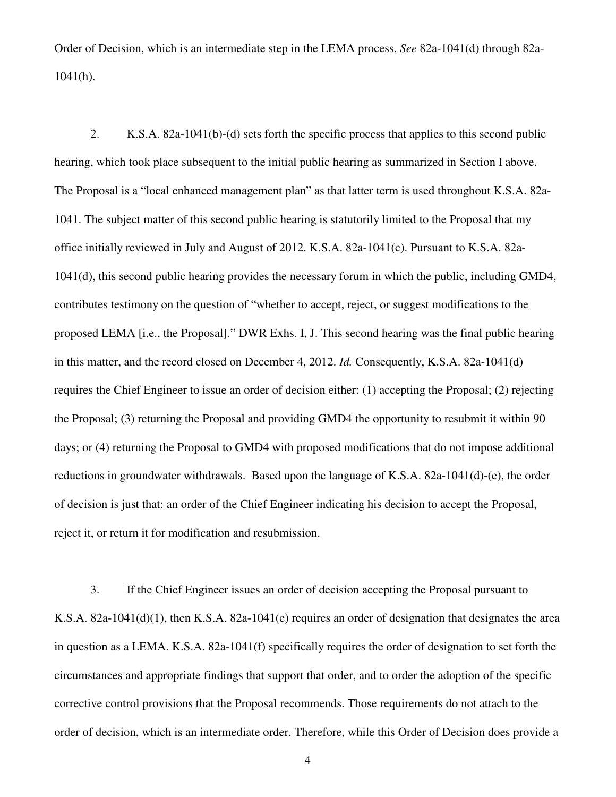Order of Decision, which is an intermediate step in the LEMA process. *See* 82a-1041(d) through 82a-1041(h).

2. K.S.A. 82a-1041(b)-(d) sets forth the specific process that applies to this second public hearing, which took place subsequent to the initial public hearing as summarized in Section I above. The Proposal is a "local enhanced management plan" as that latter term is used throughout K.S.A. 82a-1041. The subject matter of this second public hearing is statutorily limited to the Proposal that my office initially reviewed in July and August of 2012. K.S.A. 82a-1041(c). Pursuant to K.S.A. 82a-1041(d), this second public hearing provides the necessary forum in which the public, including GMD4, contributes testimony on the question of "whether to accept, reject, or suggest modifications to the proposed LEMA [i.e., the Proposal]." DWR Exhs. I, J. This second hearing was the final public hearing in this matter, and the record closed on December 4, 2012. *Id.* Consequently, K.S.A. 82a-1041(d) requires the Chief Engineer to issue an order of decision either: (1) accepting the Proposal; (2) rejecting the Proposal; (3) returning the Proposal and providing GMD4 the opportunity to resubmit it within 90 days; or (4) returning the Proposal to GMD4 with proposed modifications that do not impose additional reductions in groundwater withdrawals. Based upon the language of K.S.A. 82a-1041(d)-(e), the order of decision is just that: an order of the Chief Engineer indicating his decision to accept the Proposal, reject it, or return it for modification and resubmission.

3. If the Chief Engineer issues an order of decision accepting the Proposal pursuant to K.S.A. 82a-1041(d)(1), then K.S.A. 82a-1041(e) requires an order of designation that designates the area in question as a LEMA. K.S.A. 82a-1041(f) specifically requires the order of designation to set forth the circumstances and appropriate findings that support that order, and to order the adoption of the specific corrective control provisions that the Proposal recommends. Those requirements do not attach to the order of decision, which is an intermediate order. Therefore, while this Order of Decision does provide a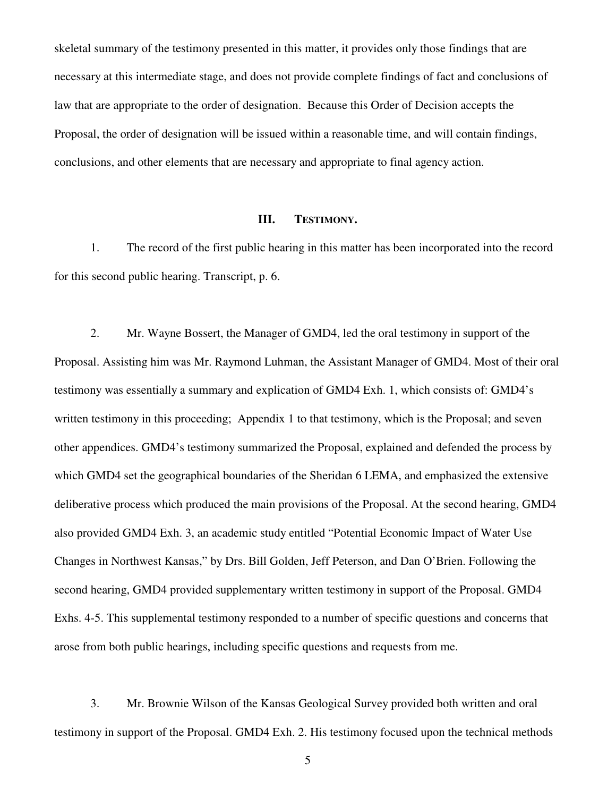skeletal summary of the testimony presented in this matter, it provides only those findings that are necessary at this intermediate stage, and does not provide complete findings of fact and conclusions of law that are appropriate to the order of designation. Because this Order of Decision accepts the Proposal, the order of designation will be issued within a reasonable time, and will contain findings, conclusions, and other elements that are necessary and appropriate to final agency action.

#### **III. TESTIMONY.**

1. The record of the first public hearing in this matter has been incorporated into the record for this second public hearing. Transcript, p. 6.

2. Mr. Wayne Bossert, the Manager of GMD4, led the oral testimony in support of the Proposal. Assisting him was Mr. Raymond Luhman, the Assistant Manager of GMD4. Most of their oral testimony was essentially a summary and explication of GMD4 Exh. 1, which consists of: GMD4's written testimony in this proceeding; Appendix 1 to that testimony, which is the Proposal; and seven other appendices. GMD4's testimony summarized the Proposal, explained and defended the process by which GMD4 set the geographical boundaries of the Sheridan 6 LEMA, and emphasized the extensive deliberative process which produced the main provisions of the Proposal. At the second hearing, GMD4 also provided GMD4 Exh. 3, an academic study entitled "Potential Economic Impact of Water Use Changes in Northwest Kansas," by Drs. Bill Golden, Jeff Peterson, and Dan O'Brien. Following the second hearing, GMD4 provided supplementary written testimony in support of the Proposal. GMD4 Exhs. 4-5. This supplemental testimony responded to a number of specific questions and concerns that arose from both public hearings, including specific questions and requests from me.

3. Mr. Brownie Wilson of the Kansas Geological Survey provided both written and oral testimony in support of the Proposal. GMD4 Exh. 2. His testimony focused upon the technical methods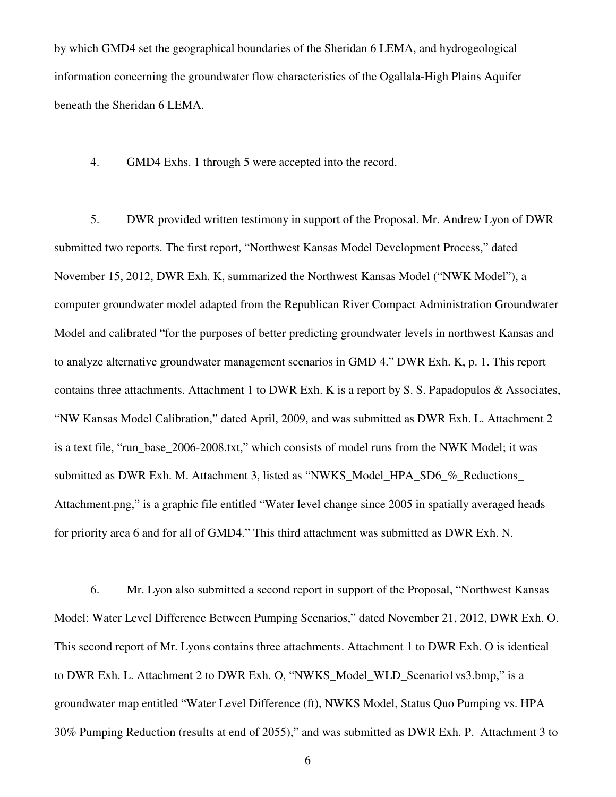by which GMD4 set the geographical boundaries of the Sheridan 6 LEMA, and hydrogeological information concerning the groundwater flow characteristics of the Ogallala-High Plains Aquifer beneath the Sheridan 6 LEMA.

4. GMD4 Exhs. 1 through 5 were accepted into the record.

5. DWR provided written testimony in support of the Proposal. Mr. Andrew Lyon of DWR submitted two reports. The first report, "Northwest Kansas Model Development Process," dated November 15, 2012, DWR Exh. K, summarized the Northwest Kansas Model ("NWK Model"), a computer groundwater model adapted from the Republican River Compact Administration Groundwater Model and calibrated "for the purposes of better predicting groundwater levels in northwest Kansas and to analyze alternative groundwater management scenarios in GMD 4." DWR Exh. K, p. 1. This report contains three attachments. Attachment 1 to DWR Exh. K is a report by S. S. Papadopulos & Associates, "NW Kansas Model Calibration," dated April, 2009, and was submitted as DWR Exh. L. Attachment 2 is a text file, "run\_base\_2006-2008.txt," which consists of model runs from the NWK Model; it was submitted as DWR Exh. M. Attachment 3, listed as "NWKS\_Model\_HPA\_SD6\_%\_Reductions\_ Attachment.png," is a graphic file entitled "Water level change since 2005 in spatially averaged heads for priority area 6 and for all of GMD4." This third attachment was submitted as DWR Exh. N.

6. Mr. Lyon also submitted a second report in support of the Proposal, "Northwest Kansas Model: Water Level Difference Between Pumping Scenarios," dated November 21, 2012, DWR Exh. O. This second report of Mr. Lyons contains three attachments. Attachment 1 to DWR Exh. O is identical to DWR Exh. L. Attachment 2 to DWR Exh. O, "NWKS\_Model\_WLD\_Scenario1vs3.bmp," is a groundwater map entitled "Water Level Difference (ft), NWKS Model, Status Quo Pumping vs. HPA 30% Pumping Reduction (results at end of 2055)," and was submitted as DWR Exh. P. Attachment 3 to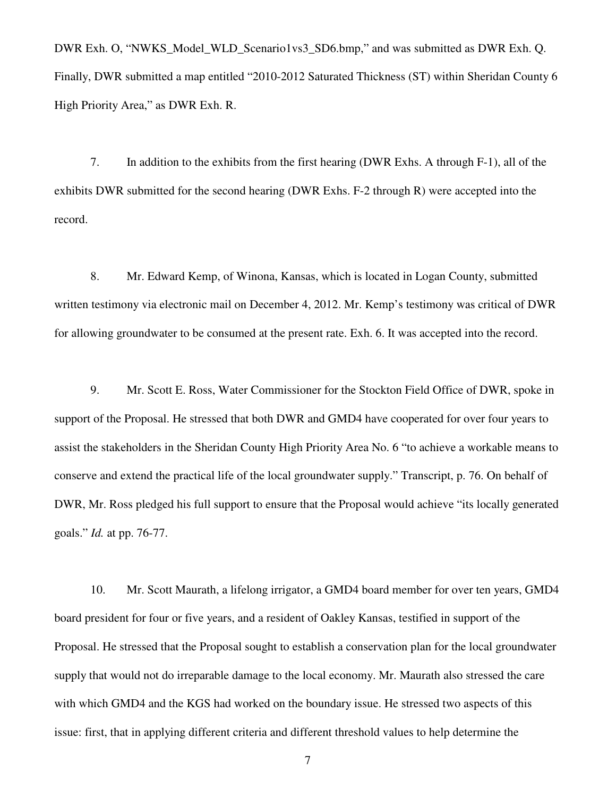DWR Exh. O, "NWKS\_Model\_WLD\_Scenario1vs3\_SD6.bmp," and was submitted as DWR Exh. Q. Finally, DWR submitted a map entitled "2010-2012 Saturated Thickness (ST) within Sheridan County 6 High Priority Area," as DWR Exh. R.

7. In addition to the exhibits from the first hearing (DWR Exhs. A through F-1), all of the exhibits DWR submitted for the second hearing (DWR Exhs. F-2 through R) were accepted into the record.

8. Mr. Edward Kemp, of Winona, Kansas, which is located in Logan County, submitted written testimony via electronic mail on December 4, 2012. Mr. Kemp's testimony was critical of DWR for allowing groundwater to be consumed at the present rate. Exh. 6. It was accepted into the record.

9. Mr. Scott E. Ross, Water Commissioner for the Stockton Field Office of DWR, spoke in support of the Proposal. He stressed that both DWR and GMD4 have cooperated for over four years to assist the stakeholders in the Sheridan County High Priority Area No. 6 "to achieve a workable means to conserve and extend the practical life of the local groundwater supply." Transcript, p. 76. On behalf of DWR, Mr. Ross pledged his full support to ensure that the Proposal would achieve "its locally generated goals." *Id.* at pp. 76-77.

10. Mr. Scott Maurath, a lifelong irrigator, a GMD4 board member for over ten years, GMD4 board president for four or five years, and a resident of Oakley Kansas, testified in support of the Proposal. He stressed that the Proposal sought to establish a conservation plan for the local groundwater supply that would not do irreparable damage to the local economy. Mr. Maurath also stressed the care with which GMD4 and the KGS had worked on the boundary issue. He stressed two aspects of this issue: first, that in applying different criteria and different threshold values to help determine the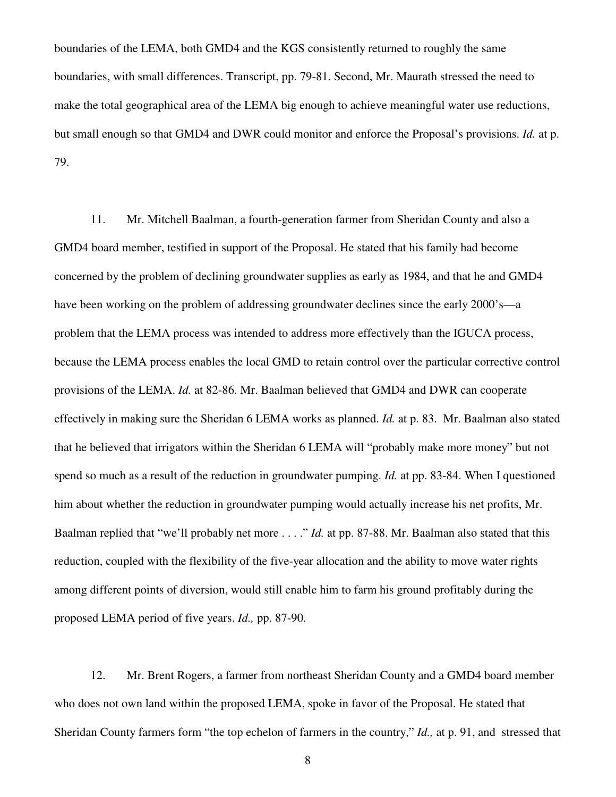boundaries of the LEMA, both GMD4 and the KGS consistently returned to roughly the same boundaries, with small differences. Transcript, pp. 79-81. Second, Mr. Maurath stressed the need to make the total geographical area of the LEMA big enough to achieve meaningful water use reductions, but small enough so that GMD4 and DWR could monitor and enforce the Proposal's provisions. *Id.* at p. 79.

11. Mr. Mitchell Baalman, a fourth-generation farmer from Sheridan County and also a GMD4 board member, testified in support of the Proposal. He stated that his family had become concerned by the problem of declining groundwater supplies as early as 1984, and that he and GMD4 have been working on the problem of addressing groundwater declines since the early 2000's—a problem that the LEMA process was intended to address more effectively than the IGUCA process, because the LEMA process enables the local GMD to retain control over the particular corrective control provisions of the LEMA. *Id.* at 82-86. Mr. Baalman believed that GMD4 and DWR can cooperate effectively in making sure the Sheridan 6 LEMA works as planned. *Id.* at p. 83. Mr. Baalman also stated that he believed that irrigators within the Sheridan 6 LEMA will "probably make more money" but not spend so much as a result of the reduction in groundwater pumping. *Id.* at pp. 83-84. When I questioned him about whether the reduction in groundwater pumping would actually increase his net profits, Mr. Baalman replied that "we'll probably net more . . . ." *Id.* at pp. 87-88. Mr. Baalman also stated that this reduction, coupled with the flexibility of the five-year allocation and the ability to move water rights among different points of diversion, would still enable him to farm his ground profitably during the proposed LEMA period of five years. *Id.,* pp. 87-90.

12. Mr. Brent Rogers, a farmer from northeast Sheridan County and a GMD4 board member who does not own land within the proposed LEMA, spoke in favor of the Proposal. He stated that Sheridan County farmers form "the top echelon of farmers in the country," *Id.,* at p. 91, and stressed that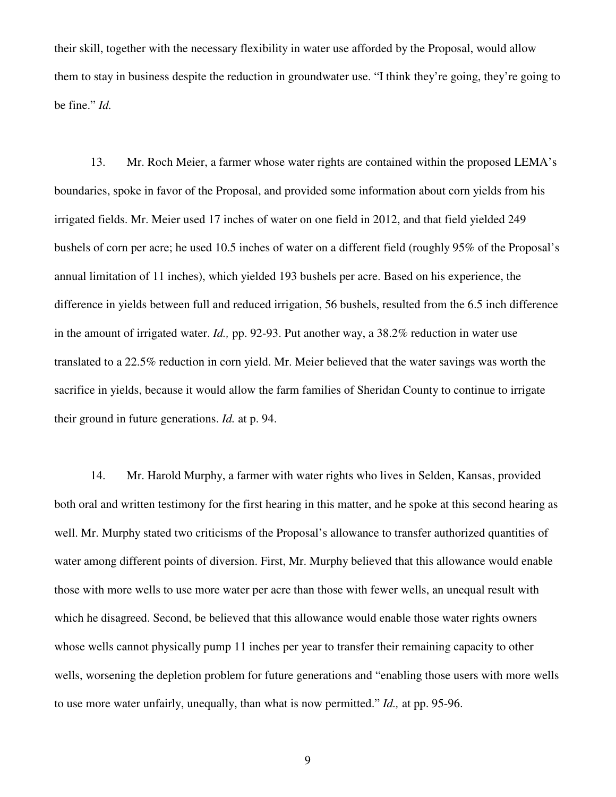their skill, together with the necessary flexibility in water use afforded by the Proposal, would allow them to stay in business despite the reduction in groundwater use. "I think they're going, they're going to be fine." *Id.* 

13. Mr. Roch Meier, a farmer whose water rights are contained within the proposed LEMA's boundaries, spoke in favor of the Proposal, and provided some information about corn yields from his irrigated fields. Mr. Meier used 17 inches of water on one field in 2012, and that field yielded 249 bushels of corn per acre; he used 10.5 inches of water on a different field (roughly 95% of the Proposal's annual limitation of 11 inches), which yielded 193 bushels per acre. Based on his experience, the difference in yields between full and reduced irrigation, 56 bushels, resulted from the 6.5 inch difference in the amount of irrigated water. *Id.,* pp. 92-93. Put another way, a 38.2% reduction in water use translated to a 22.5% reduction in corn yield. Mr. Meier believed that the water savings was worth the sacrifice in yields, because it would allow the farm families of Sheridan County to continue to irrigate their ground in future generations. *Id.* at p. 94.

14. Mr. Harold Murphy, a farmer with water rights who lives in Selden, Kansas, provided both oral and written testimony for the first hearing in this matter, and he spoke at this second hearing as well. Mr. Murphy stated two criticisms of the Proposal's allowance to transfer authorized quantities of water among different points of diversion. First, Mr. Murphy believed that this allowance would enable those with more wells to use more water per acre than those with fewer wells, an unequal result with which he disagreed. Second, be believed that this allowance would enable those water rights owners whose wells cannot physically pump 11 inches per year to transfer their remaining capacity to other wells, worsening the depletion problem for future generations and "enabling those users with more wells to use more water unfairly, unequally, than what is now permitted." *Id.,* at pp. 95-96.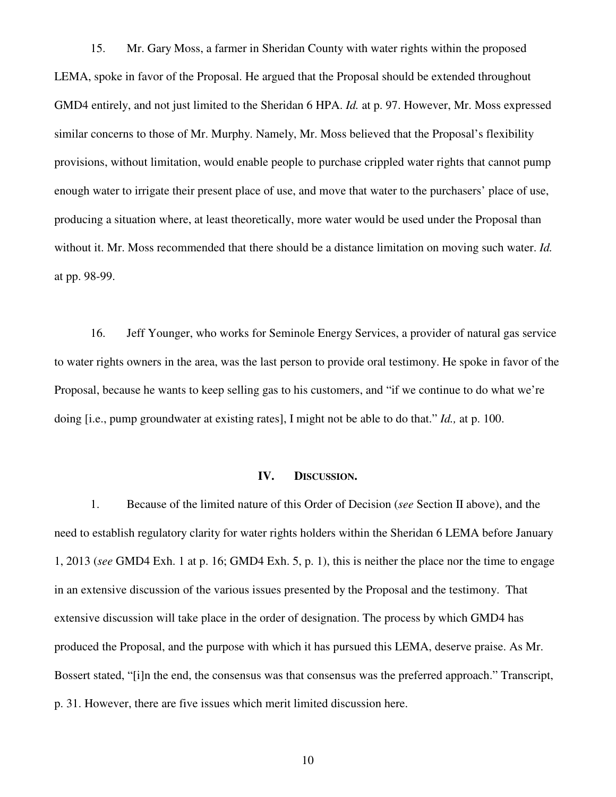15. Mr. Gary Moss, a farmer in Sheridan County with water rights within the proposed LEMA, spoke in favor of the Proposal. He argued that the Proposal should be extended throughout GMD4 entirely, and not just limited to the Sheridan 6 HPA. *Id.* at p. 97. However, Mr. Moss expressed similar concerns to those of Mr. Murphy. Namely, Mr. Moss believed that the Proposal's flexibility provisions, without limitation, would enable people to purchase crippled water rights that cannot pump enough water to irrigate their present place of use, and move that water to the purchasers' place of use, producing a situation where, at least theoretically, more water would be used under the Proposal than without it. Mr. Moss recommended that there should be a distance limitation on moving such water. *Id.*  at pp. 98-99.

16. Jeff Younger, who works for Seminole Energy Services, a provider of natural gas service to water rights owners in the area, was the last person to provide oral testimony. He spoke in favor of the Proposal, because he wants to keep selling gas to his customers, and "if we continue to do what we're doing [i.e., pump groundwater at existing rates], I might not be able to do that." *Id.,* at p. 100.

#### **IV. DISCUSSION.**

1. Because of the limited nature of this Order of Decision (*see* Section II above), and the need to establish regulatory clarity for water rights holders within the Sheridan 6 LEMA before January 1, 2013 (*see* GMD4 Exh. 1 at p. 16; GMD4 Exh. 5, p. 1), this is neither the place nor the time to engage in an extensive discussion of the various issues presented by the Proposal and the testimony. That extensive discussion will take place in the order of designation. The process by which GMD4 has produced the Proposal, and the purpose with which it has pursued this LEMA, deserve praise. As Mr. Bossert stated, "[i]n the end, the consensus was that consensus was the preferred approach." Transcript, p. 31. However, there are five issues which merit limited discussion here.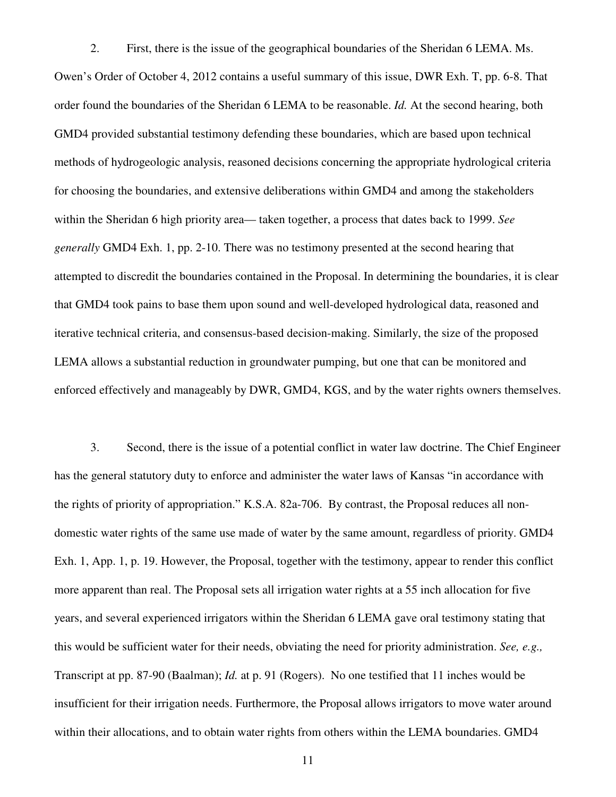2. First, there is the issue of the geographical boundaries of the Sheridan 6 LEMA. Ms. Owen's Order of October 4, 2012 contains a useful summary of this issue, DWR Exh. T, pp. 6-8. That order found the boundaries of the Sheridan 6 LEMA to be reasonable. *Id.* At the second hearing, both GMD4 provided substantial testimony defending these boundaries, which are based upon technical methods of hydrogeologic analysis, reasoned decisions concerning the appropriate hydrological criteria for choosing the boundaries, and extensive deliberations within GMD4 and among the stakeholders within the Sheridan 6 high priority area— taken together, a process that dates back to 1999. *See generally* GMD4 Exh. 1, pp. 2-10. There was no testimony presented at the second hearing that attempted to discredit the boundaries contained in the Proposal. In determining the boundaries, it is clear that GMD4 took pains to base them upon sound and well-developed hydrological data, reasoned and iterative technical criteria, and consensus-based decision-making. Similarly, the size of the proposed LEMA allows a substantial reduction in groundwater pumping, but one that can be monitored and enforced effectively and manageably by DWR, GMD4, KGS, and by the water rights owners themselves.

3. Second, there is the issue of a potential conflict in water law doctrine. The Chief Engineer has the general statutory duty to enforce and administer the water laws of Kansas "in accordance with the rights of priority of appropriation." K.S.A. 82a-706. By contrast, the Proposal reduces all nondomestic water rights of the same use made of water by the same amount, regardless of priority. GMD4 Exh. 1, App. 1, p. 19. However, the Proposal, together with the testimony, appear to render this conflict more apparent than real. The Proposal sets all irrigation water rights at a 55 inch allocation for five years, and several experienced irrigators within the Sheridan 6 LEMA gave oral testimony stating that this would be sufficient water for their needs, obviating the need for priority administration. *See, e.g.,*  Transcript at pp. 87-90 (Baalman); *Id.* at p. 91 (Rogers). No one testified that 11 inches would be insufficient for their irrigation needs. Furthermore, the Proposal allows irrigators to move water around within their allocations, and to obtain water rights from others within the LEMA boundaries. GMD4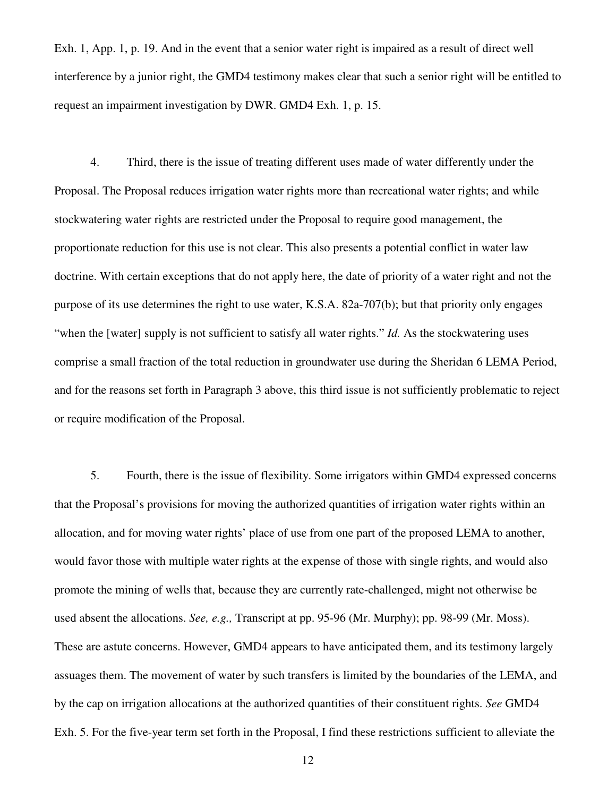Exh. 1, App. 1, p. 19. And in the event that a senior water right is impaired as a result of direct well interference by a junior right, the GMD4 testimony makes clear that such a senior right will be entitled to request an impairment investigation by DWR. GMD4 Exh. 1, p. 15.

4. Third, there is the issue of treating different uses made of water differently under the Proposal. The Proposal reduces irrigation water rights more than recreational water rights; and while stockwatering water rights are restricted under the Proposal to require good management, the proportionate reduction for this use is not clear. This also presents a potential conflict in water law doctrine. With certain exceptions that do not apply here, the date of priority of a water right and not the purpose of its use determines the right to use water, K.S.A. 82a-707(b); but that priority only engages "when the [water] supply is not sufficient to satisfy all water rights." *Id.* As the stockwatering uses comprise a small fraction of the total reduction in groundwater use during the Sheridan 6 LEMA Period, and for the reasons set forth in Paragraph 3 above, this third issue is not sufficiently problematic to reject or require modification of the Proposal.

5. Fourth, there is the issue of flexibility. Some irrigators within GMD4 expressed concerns that the Proposal's provisions for moving the authorized quantities of irrigation water rights within an allocation, and for moving water rights' place of use from one part of the proposed LEMA to another, would favor those with multiple water rights at the expense of those with single rights, and would also promote the mining of wells that, because they are currently rate-challenged, might not otherwise be used absent the allocations. *See, e.g.,* Transcript at pp. 95-96 (Mr. Murphy); pp. 98-99 (Mr. Moss). These are astute concerns. However, GMD4 appears to have anticipated them, and its testimony largely assuages them. The movement of water by such transfers is limited by the boundaries of the LEMA, and by the cap on irrigation allocations at the authorized quantities of their constituent rights. *See* GMD4 Exh. 5. For the five-year term set forth in the Proposal, I find these restrictions sufficient to alleviate the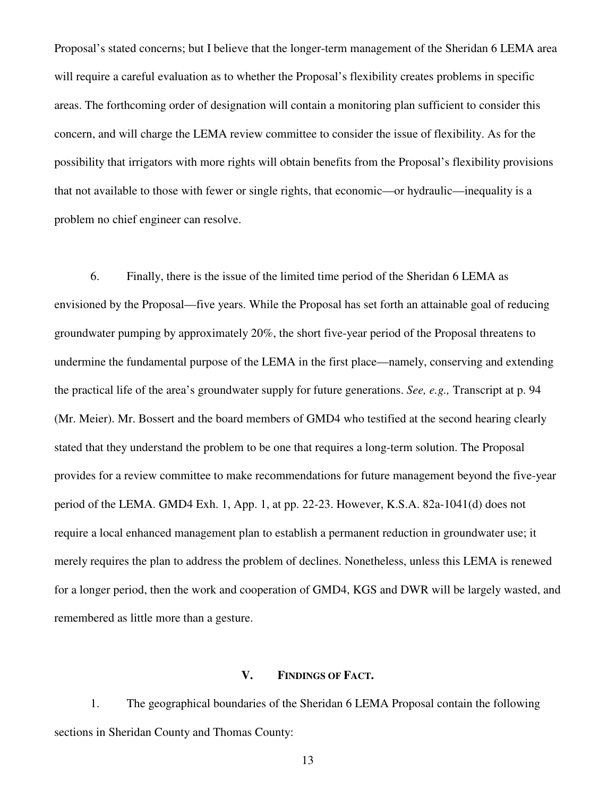Proposal's stated concerns; but I believe that the longer-term management of the Sheridan 6 LEMA area will require a careful evaluation as to whether the Proposal's flexibility creates problems in specific areas. The forthcoming order of designation will contain a monitoring plan sufficient to consider this concern, and will charge the LEMA review committee to consider the issue of flexibility. As for the possibility that irrigators with more rights will obtain benefits from the Proposal's flexibility provisions that not available to those with fewer or single rights, that economic—or hydraulic—inequality is a problem no chief engineer can resolve.

6. Finally, there is the issue of the limited time period of the Sheridan 6 LEMA as envisioned by the Proposal—five years. While the Proposal has set forth an attainable goal of reducing groundwater pumping by approximately 20%, the short five-year period of the Proposal threatens to undermine the fundamental purpose of the LEMA in the first place—namely, conserving and extending the practical life of the area's groundwater supply for future generations. *See, e.g.,* Transcript at p. 94 (Mr. Meier). Mr. Bossert and the board members of GMD4 who testified at the second hearing clearly stated that they understand the problem to be one that requires a long-term solution. The Proposal provides for a review committee to make recommendations for future management beyond the five-year period of the LEMA. GMD4 Exh. 1, App. 1, at pp. 22-23. However, K.S.A. 82a-1041(d) does not require a local enhanced management plan to establish a permanent reduction in groundwater use; it merely requires the plan to address the problem of declines. Nonetheless, unless this LEMA is renewed for a longer period, then the work and cooperation of GMD4, KGS and DWR will be largely wasted, and remembered as little more than a gesture.

## **V. FINDINGS OF FACT.**

1. The geographical boundaries of the Sheridan 6 LEMA Proposal contain the following sections in Sheridan County and Thomas County: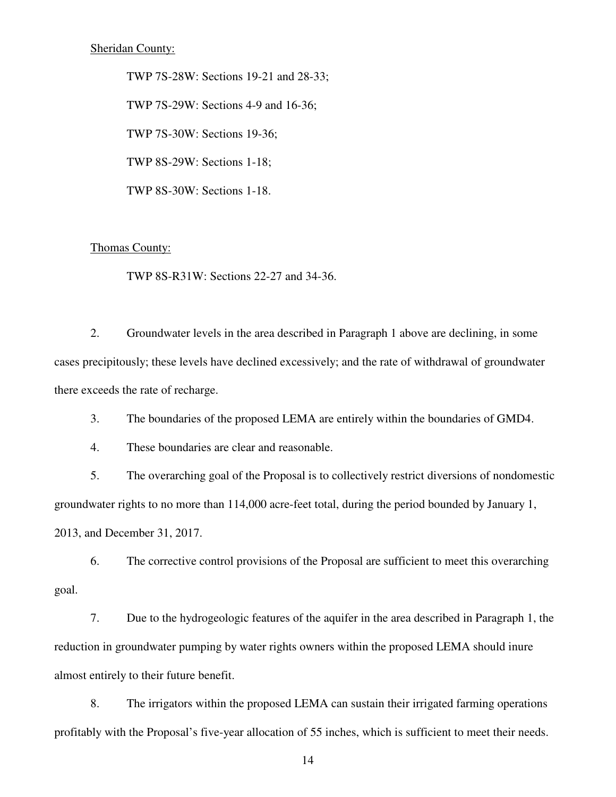TWP 7S-28W: Sections 19-21 and 28-33; TWP 7S-29W: Sections 4-9 and 16-36; TWP 7S-30W: Sections 19-36; TWP 8S-29W: Sections 1-18; TWP 8S-30W: Sections 1-18.

### Thomas County:

TWP 8S-R31W: Sections 22-27 and 34-36.

2. Groundwater levels in the area described in Paragraph 1 above are declining, in some cases precipitously; these levels have declined excessively; and the rate of withdrawal of groundwater there exceeds the rate of recharge.

3. The boundaries of the proposed LEMA are entirely within the boundaries of GMD4.

4. These boundaries are clear and reasonable.

5. The overarching goal of the Proposal is to collectively restrict diversions of nondomestic groundwater rights to no more than 114,000 acre-feet total, during the period bounded by January 1, 2013, and December 31, 2017.

6. The corrective control provisions of the Proposal are sufficient to meet this overarching goal.

7. Due to the hydrogeologic features of the aquifer in the area described in Paragraph 1, the reduction in groundwater pumping by water rights owners within the proposed LEMA should inure almost entirely to their future benefit.

8. The irrigators within the proposed LEMA can sustain their irrigated farming operations profitably with the Proposal's five-year allocation of 55 inches, which is sufficient to meet their needs.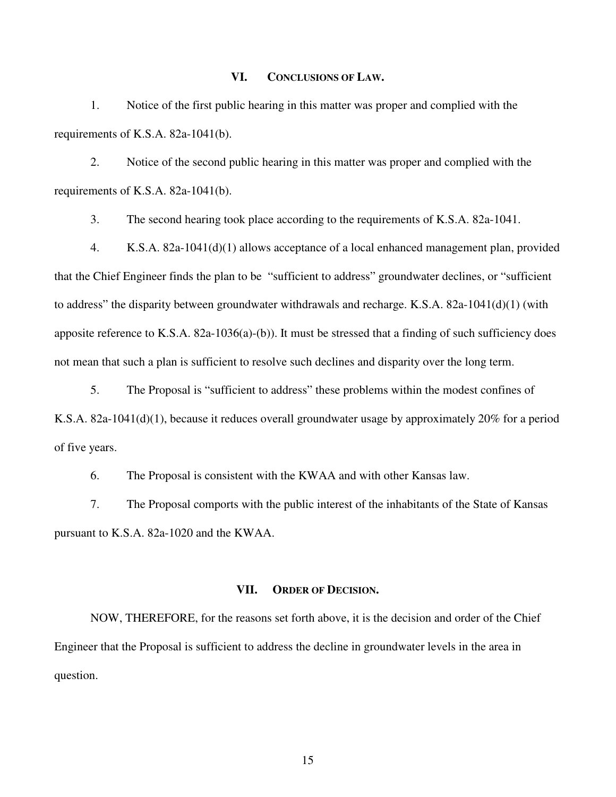#### **VI. CONCLUSIONS OF LAW.**

1. Notice of the first public hearing in this matter was proper and complied with the requirements of K.S.A. 82a-1041(b).

2. Notice of the second public hearing in this matter was proper and complied with the requirements of K.S.A. 82a-1041(b).

3. The second hearing took place according to the requirements of K.S.A. 82a-1041.

4. K.S.A. 82a-1041(d)(1) allows acceptance of a local enhanced management plan, provided that the Chief Engineer finds the plan to be "sufficient to address" groundwater declines, or "sufficient to address" the disparity between groundwater withdrawals and recharge. K.S.A. 82a-1041(d)(1) (with apposite reference to K.S.A. 82a-1036(a)-(b)). It must be stressed that a finding of such sufficiency does not mean that such a plan is sufficient to resolve such declines and disparity over the long term.

5. The Proposal is "sufficient to address" these problems within the modest confines of K.S.A. 82a-1041(d)(1), because it reduces overall groundwater usage by approximately 20% for a period of five years.

6. The Proposal is consistent with the KWAA and with other Kansas law.

7. The Proposal comports with the public interest of the inhabitants of the State of Kansas pursuant to K.S.A. 82a-1020 and the KWAA.

#### **VII. ORDER OF DECISION.**

NOW, THEREFORE, for the reasons set forth above, it is the decision and order of the Chief Engineer that the Proposal is sufficient to address the decline in groundwater levels in the area in question.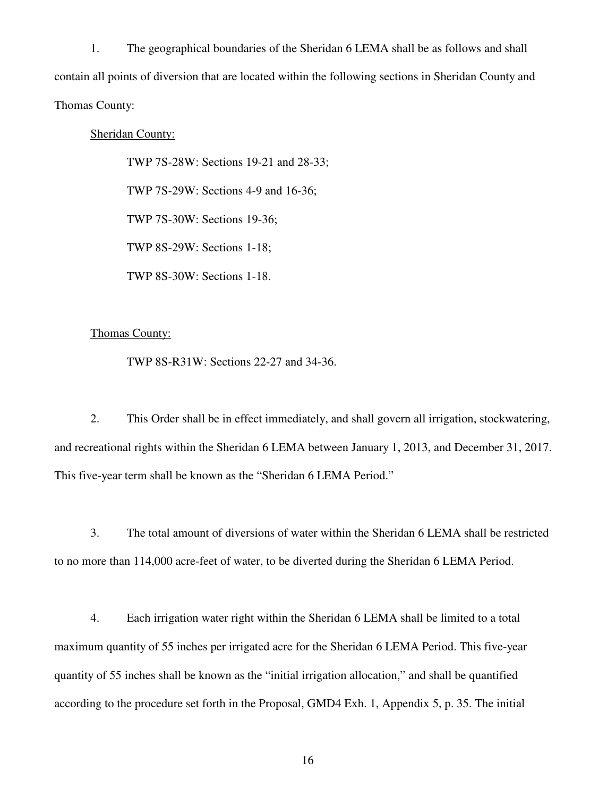1. The geographical boundaries of the Sheridan 6 LEMA shall be as follows and shall contain all points of diversion that are located within the following sections in Sheridan County and Thomas County:

## Sheridan County:

 TWP 7S-28W: Sections 19-21 and 28-33; TWP 7S-29W: Sections 4-9 and 16-36; TWP 7S-30W: Sections 19-36; TWP 8S-29W: Sections 1-18; TWP 8S-30W: Sections 1-18.

# Thomas County:

TWP 8S-R31W: Sections 22-27 and 34-36.

2. This Order shall be in effect immediately, and shall govern all irrigation, stockwatering, and recreational rights within the Sheridan 6 LEMA between January 1, 2013, and December 31, 2017. This five-year term shall be known as the "Sheridan 6 LEMA Period."

3. The total amount of diversions of water within the Sheridan 6 LEMA shall be restricted to no more than 114,000 acre-feet of water, to be diverted during the Sheridan 6 LEMA Period.

4. Each irrigation water right within the Sheridan 6 LEMA shall be limited to a total maximum quantity of 55 inches per irrigated acre for the Sheridan 6 LEMA Period. This five-year quantity of 55 inches shall be known as the "initial irrigation allocation," and shall be quantified according to the procedure set forth in the Proposal, GMD4 Exh. 1, Appendix 5, p. 35. The initial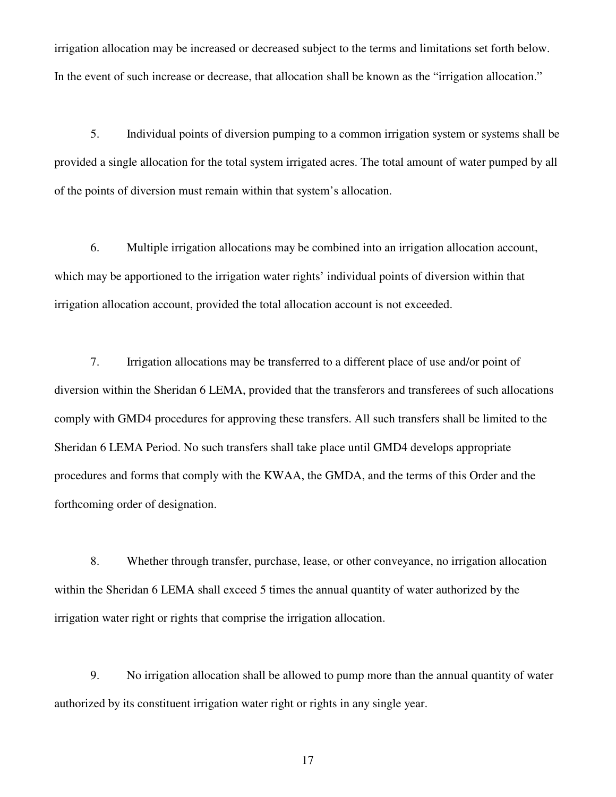irrigation allocation may be increased or decreased subject to the terms and limitations set forth below. In the event of such increase or decrease, that allocation shall be known as the "irrigation allocation."

5. Individual points of diversion pumping to a common irrigation system or systems shall be provided a single allocation for the total system irrigated acres. The total amount of water pumped by all of the points of diversion must remain within that system's allocation.

6. Multiple irrigation allocations may be combined into an irrigation allocation account, which may be apportioned to the irrigation water rights' individual points of diversion within that irrigation allocation account, provided the total allocation account is not exceeded.

7. Irrigation allocations may be transferred to a different place of use and/or point of diversion within the Sheridan 6 LEMA, provided that the transferors and transferees of such allocations comply with GMD4 procedures for approving these transfers. All such transfers shall be limited to the Sheridan 6 LEMA Period. No such transfers shall take place until GMD4 develops appropriate procedures and forms that comply with the KWAA, the GMDA, and the terms of this Order and the forthcoming order of designation.

8. Whether through transfer, purchase, lease, or other conveyance, no irrigation allocation within the Sheridan 6 LEMA shall exceed 5 times the annual quantity of water authorized by the irrigation water right or rights that comprise the irrigation allocation.

9. No irrigation allocation shall be allowed to pump more than the annual quantity of water authorized by its constituent irrigation water right or rights in any single year.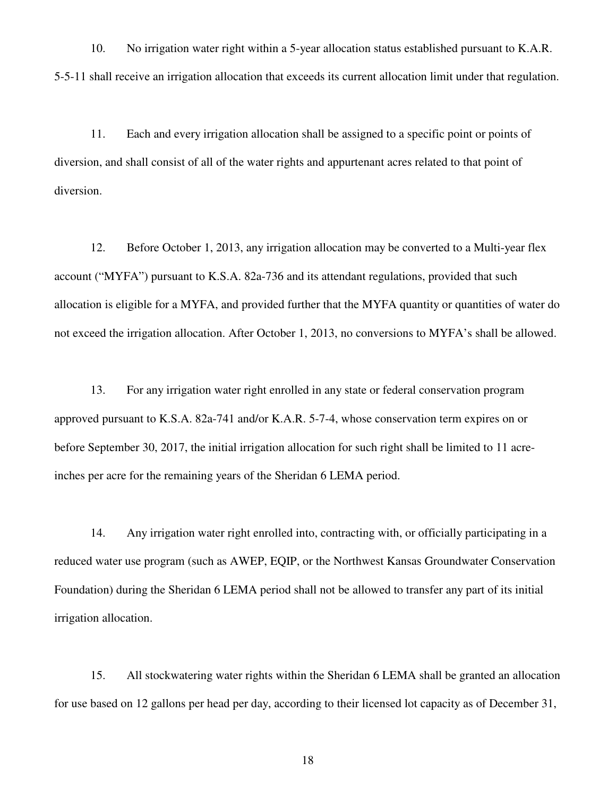10. No irrigation water right within a 5-year allocation status established pursuant to K.A.R. 5-5-11 shall receive an irrigation allocation that exceeds its current allocation limit under that regulation.

11. Each and every irrigation allocation shall be assigned to a specific point or points of diversion, and shall consist of all of the water rights and appurtenant acres related to that point of diversion.

12. Before October 1, 2013, any irrigation allocation may be converted to a Multi-year flex account ("MYFA") pursuant to K.S.A. 82a-736 and its attendant regulations, provided that such allocation is eligible for a MYFA, and provided further that the MYFA quantity or quantities of water do not exceed the irrigation allocation. After October 1, 2013, no conversions to MYFA's shall be allowed.

13. For any irrigation water right enrolled in any state or federal conservation program approved pursuant to K.S.A. 82a-741 and/or K.A.R. 5-7-4, whose conservation term expires on or before September 30, 2017, the initial irrigation allocation for such right shall be limited to 11 acreinches per acre for the remaining years of the Sheridan 6 LEMA period.

14. Any irrigation water right enrolled into, contracting with, or officially participating in a reduced water use program (such as AWEP, EQIP, or the Northwest Kansas Groundwater Conservation Foundation) during the Sheridan 6 LEMA period shall not be allowed to transfer any part of its initial irrigation allocation.

15. All stockwatering water rights within the Sheridan 6 LEMA shall be granted an allocation for use based on 12 gallons per head per day, according to their licensed lot capacity as of December 31,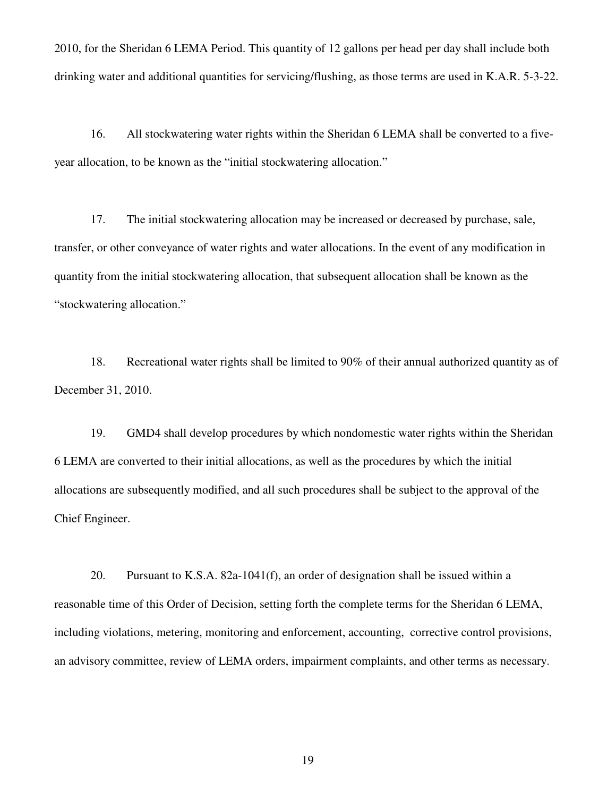2010, for the Sheridan 6 LEMA Period. This quantity of 12 gallons per head per day shall include both drinking water and additional quantities for servicing/flushing, as those terms are used in K.A.R. 5-3-22.

16. All stockwatering water rights within the Sheridan 6 LEMA shall be converted to a fiveyear allocation, to be known as the "initial stockwatering allocation."

17. The initial stockwatering allocation may be increased or decreased by purchase, sale, transfer, or other conveyance of water rights and water allocations. In the event of any modification in quantity from the initial stockwatering allocation, that subsequent allocation shall be known as the "stockwatering allocation."

18. Recreational water rights shall be limited to 90% of their annual authorized quantity as of December 31, 2010.

19. GMD4 shall develop procedures by which nondomestic water rights within the Sheridan 6 LEMA are converted to their initial allocations, as well as the procedures by which the initial allocations are subsequently modified, and all such procedures shall be subject to the approval of the Chief Engineer.

20. Pursuant to K.S.A. 82a-1041(f), an order of designation shall be issued within a reasonable time of this Order of Decision, setting forth the complete terms for the Sheridan 6 LEMA, including violations, metering, monitoring and enforcement, accounting, corrective control provisions, an advisory committee, review of LEMA orders, impairment complaints, and other terms as necessary.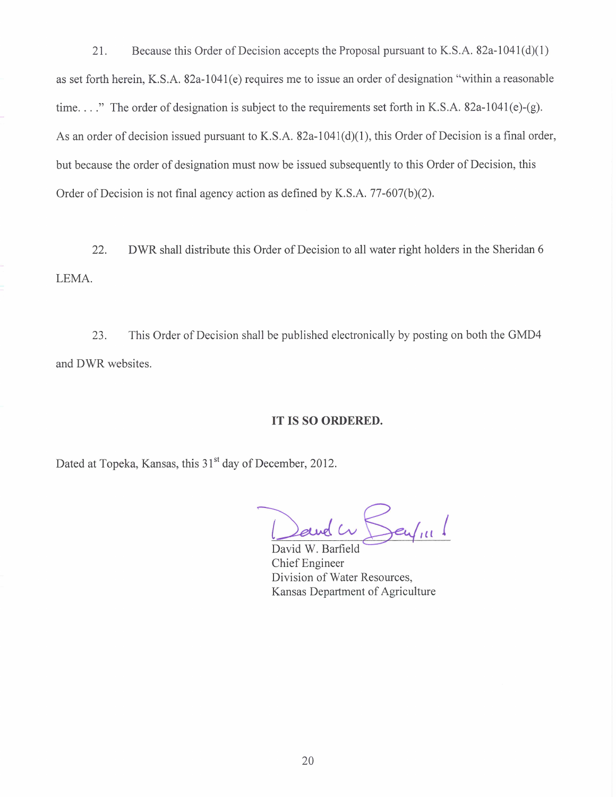21. Because this Order of Decision accepts the Proposal pursuant to K.S.A. 82a-1041(d)(1) as set forth herein, K.S.A. 82a-1041(e) requires me to issue an order of designation "within a reasonable time...." The order of designation is subject to the requirements set forth in K.S.A. 82a-1041(e)-(g). As an order of decision issued pursuant to K.S.A. 82a-1041(d)(1), this Order of Decision is a final order, but because the order of designation must now be issued subsequently to this Order of Decision, this Order of Decision is not final agency action as defined by K.S.A. 77-607(b)(2).

DWR shall distribute this Order of Decision to all water right holders in the Sheridan 6 22. LEMA.

This Order of Decision shall be published electronically by posting on both the GMD4 23. and DWR websites.

## IT IS SO ORDERED.

Dated at Topeka, Kansas, this 31<sup>st</sup> day of December, 2012.

David W. Barfield Chief Engineer Division of Water Resources, Kansas Department of Agriculture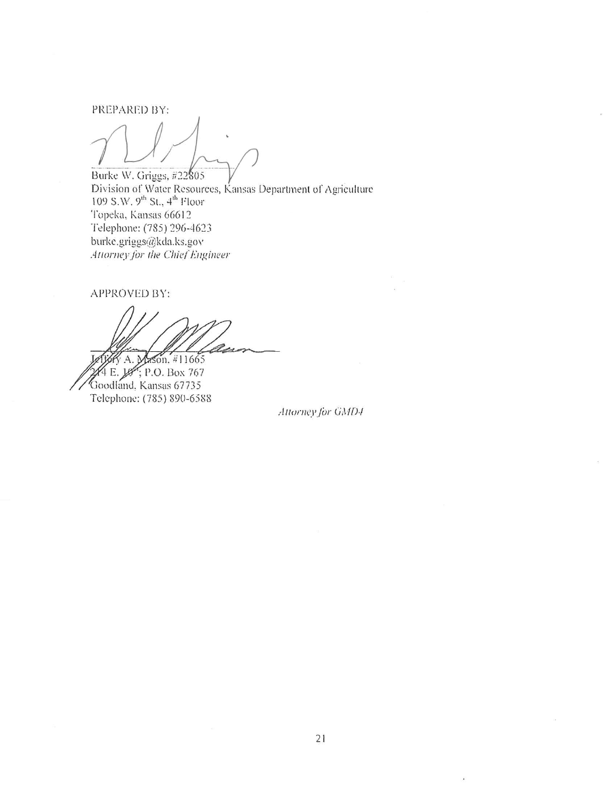PREPARED BY:

Burke W. Griggs, #22805 Division of Water Resources, Kansas Department of Agriculture<br>109 S.W. 9<sup>th</sup> St., 4<sup>th</sup> Floor<br>Topeka, Kansas 66612 Telephone: (785) 296-4623 burke.griggs@kda.ks.gov Attorney for the Chief Engineer

APPROVED BY:

A. Mason, #11665

4 E. 18; P.O. Box 767<br>Goodland, Kansas 67735 Telephone: (785) 890-6588

Attorney for GMD4